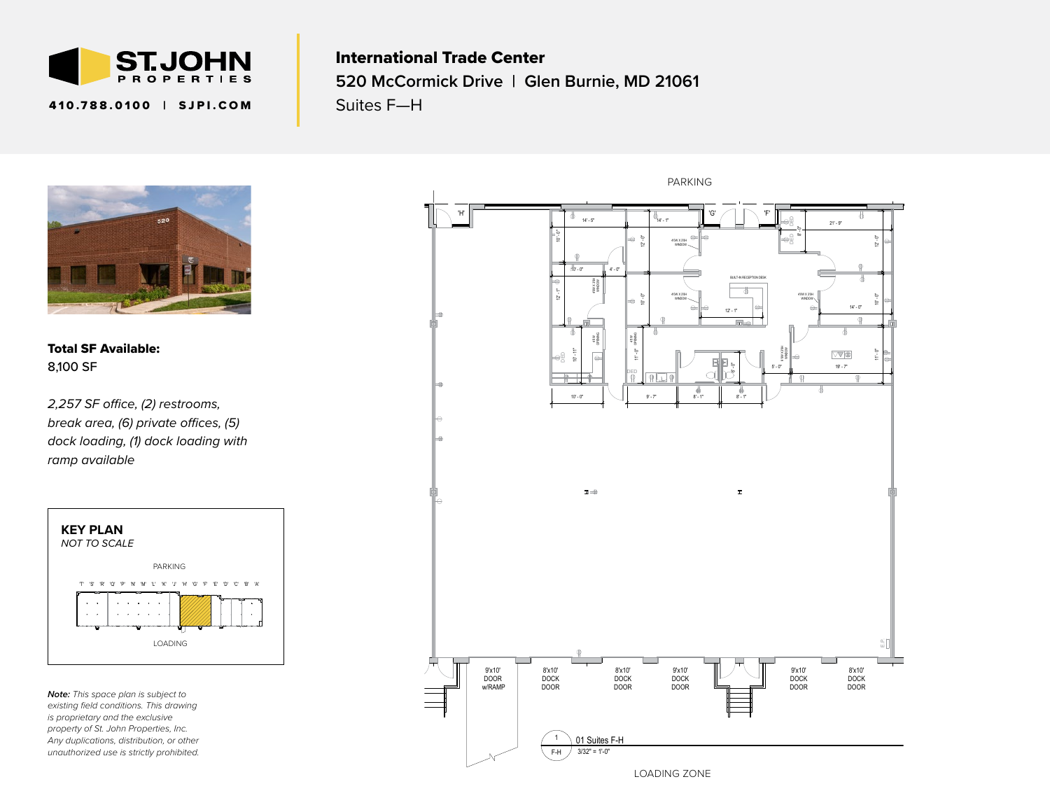

410.788.0100 ∣ SJPI.COM

## International Trade Center **520 McCormick Drive | Glen Burnie, MD 21061** Suites F—H



Total SF Available: 8,100 SF

break area, (6) private offices, (5) DOOR DOOR DOOR *dock loading, (1) dock loading with 2,257 SF office, (2) restrooms, ramp available* 



*Note: This space plan is subject to existing field conditions. This drawing is proprietary and the exclusive property of St. John Properties, Inc. Any duplications, distribution, or other unauthorized use is strictly prohibited.*



LOADING ZONE